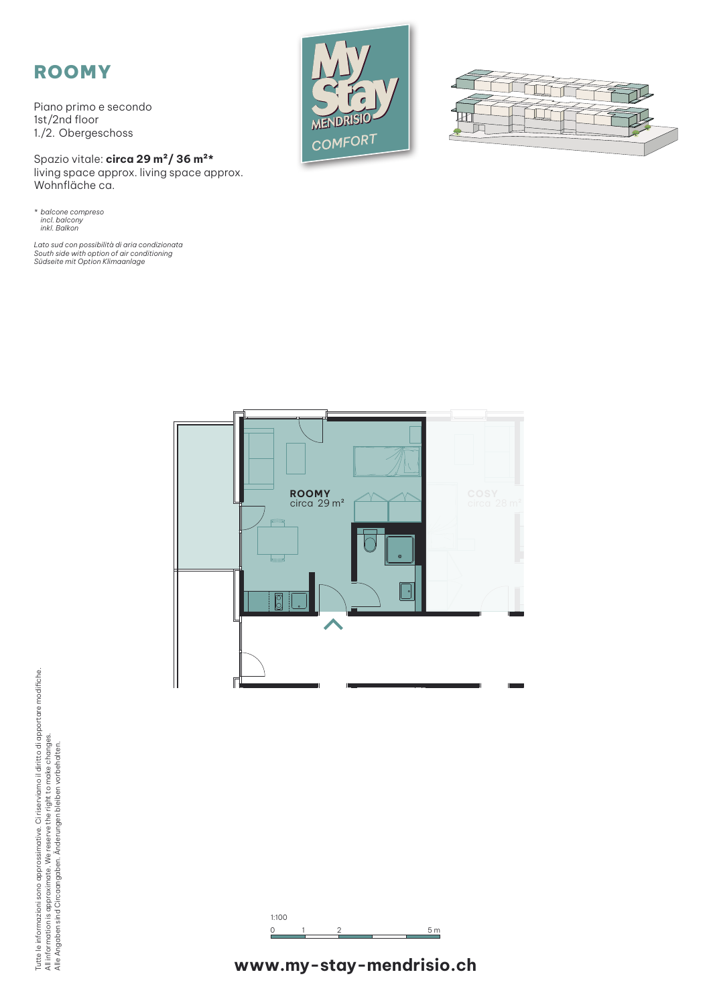## ROOMY

Piano primo e secondo 1st/2nd floor 1./2. Obergeschoss

Spazio vitale: **circa 29 m²/ 36 m²\*** living space approx. living space approx. Wohnfläche ca.

*\* balcone compreso incl. balcony inkl. Balkon*

*Lato sud con possibilità di aria condizionata South side with option of air conditioning Südseite mit Option Klimaanlage*









Tutte le informazioni sono approssimative. Ci riserviamo il diritto di apportare modifiche.<br>All information is approximate. We reserve the right to make changes.<br>Alle Angaben sind Circaangaben. Änderungen bleiben vorbehalt Tutte le informazioni sono approssimative. Ci riserviamo il diritto di apportare modifiche. All information is approximate. We reserve the right to make changes. Alle Angaben sind Circaangaben. Änderungen bleiben vorbehalten.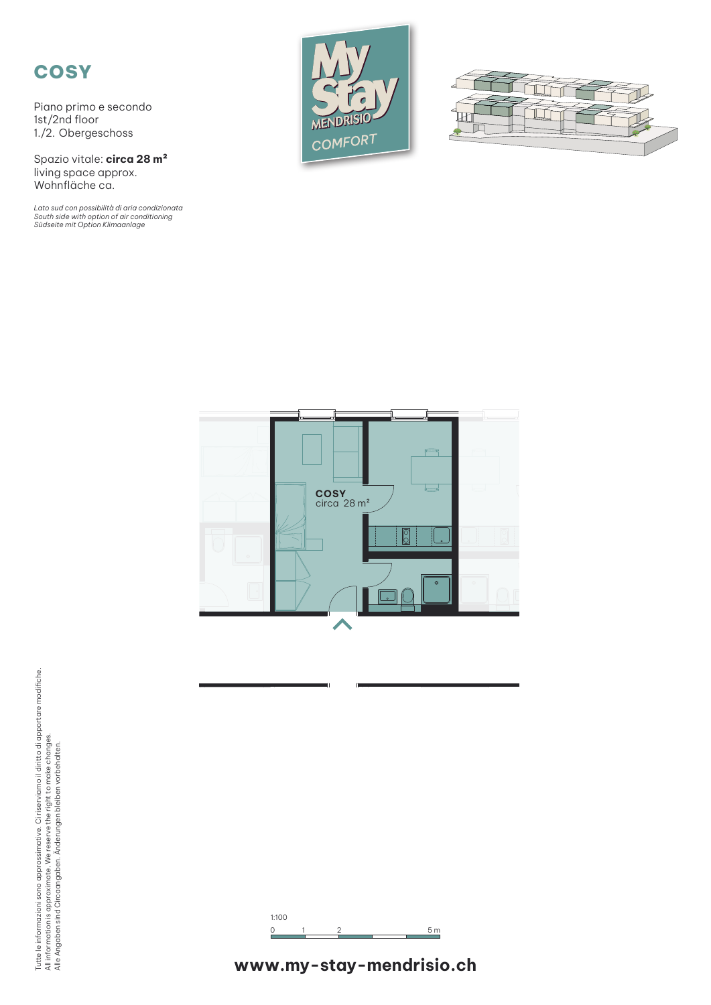## **COSY**

Piano primo e secondo 1st/2nd floor 1./2. Obergeschoss

Spazio vitale: **circa 28 m²** living space approx. Wohnfläche ca.

*Lato sud con possibilità di aria condizionata South side with option of air conditioning Südseite mit Option Klimaanlage*









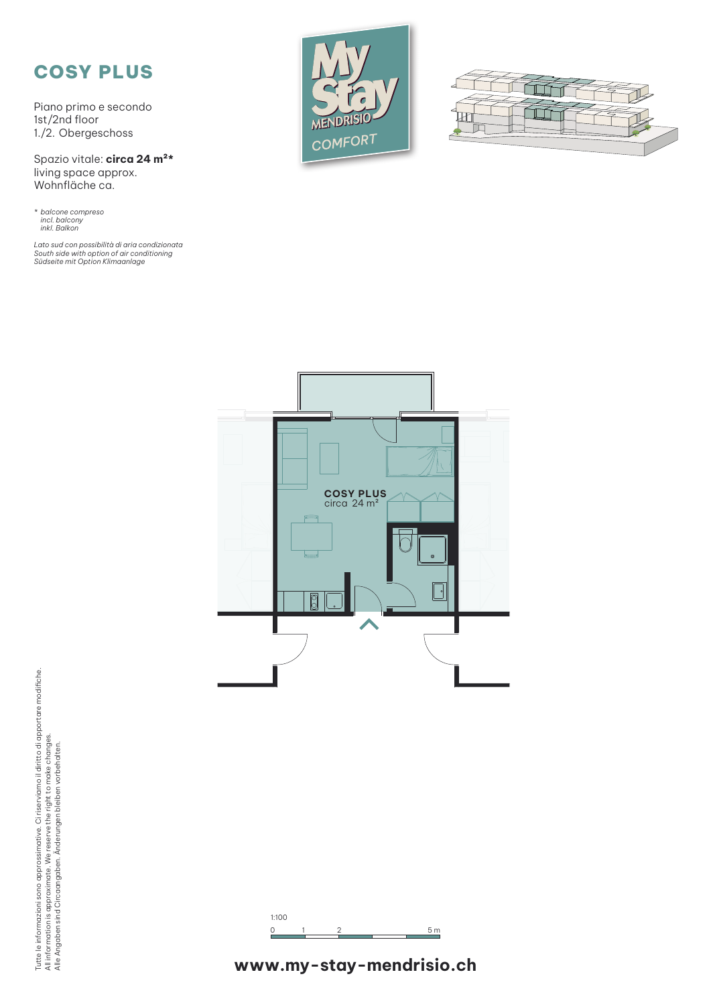## COSY PLUS

Piano primo e secondo 1st/2nd floor 1./2. Obergeschoss

Spazio vitale: **circa 24 m²\*** living space approx. Wohnfläche ca.

*\* balcone compreso incl. balcony inkl. Balkon*

*Lato sud con possibilità di aria condizionata South side with option of air conditioning Südseite mit Option Klimaanlage*







Tutte le informazioni sono approssimative. Ci riserviamo il diritto di apportare modifiche.<br>All information is approximate. We reserve the right to make changes.<br>Alle Angaben sind Circaangaben. Änderungen bleiben vorbehalt Tutte le informazioni sono approssimative. Ci riserviamo il diritto di apportare modifiche. All information is approximate. We reserve the right to make changes. Alle Angaben sind Circaangaben. Änderungen bleiben vorbehalten.